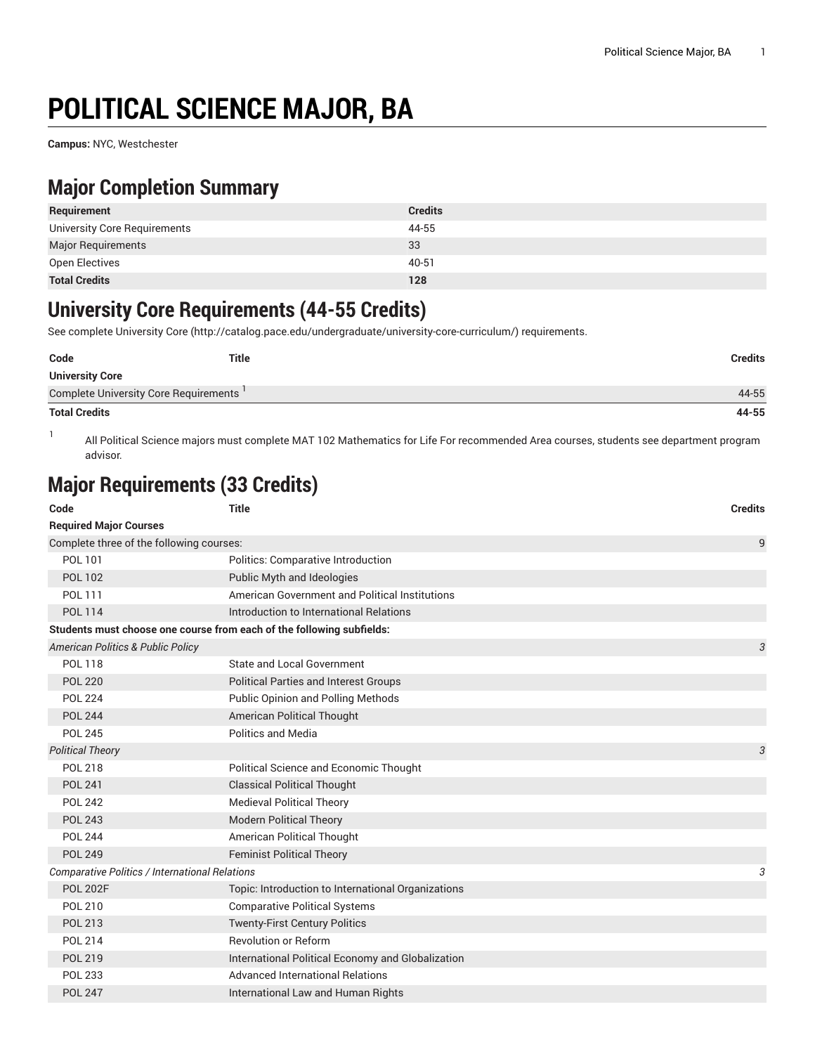# **POLITICAL SCIENCE MAJOR, BA**

**Campus:** NYC, Westchester

# **Major Completion Summary**

| Requirement                  | <b>Credits</b> |
|------------------------------|----------------|
| University Core Requirements | 44-55          |
| <b>Major Requirements</b>    | 33             |
| Open Electives               | 40-51          |
| <b>Total Credits</b>         | 128            |

### **University Core Requirements (44-55 Credits)**

See complete [University](http://catalog.pace.edu/undergraduate/university-core-curriculum/) Core (<http://catalog.pace.edu/undergraduate/university-core-curriculum/>) requirements.

| Code                                  | <b>Title</b> | Credits |
|---------------------------------------|--------------|---------|
| <b>University Core</b>                |              |         |
| Complete University Core Requirements |              | 44-55   |
| <b>Total Credits</b>                  |              | 44-55   |

1 All Political Science majors must complete MAT 102 Mathematics for Life For recommended Area courses, students see department program advisor.

# **Major Requirements (33 Credits)**

| Code                                                                  | <b>Title</b>                                       | <b>Credits</b> |  |
|-----------------------------------------------------------------------|----------------------------------------------------|----------------|--|
| <b>Required Major Courses</b>                                         |                                                    |                |  |
| Complete three of the following courses:                              |                                                    | 9              |  |
| POL 101                                                               | Politics: Comparative Introduction                 |                |  |
| <b>POL 102</b>                                                        | Public Myth and Ideologies                         |                |  |
| POL 111                                                               | American Government and Political Institutions     |                |  |
| <b>POL 114</b>                                                        | Introduction to International Relations            |                |  |
| Students must choose one course from each of the following subfields: |                                                    |                |  |
| American Politics & Public Policy                                     |                                                    | 3              |  |
| <b>POL 118</b>                                                        | State and Local Government                         |                |  |
| <b>POL 220</b>                                                        | <b>Political Parties and Interest Groups</b>       |                |  |
| <b>POL 224</b>                                                        | Public Opinion and Polling Methods                 |                |  |
| <b>POL 244</b>                                                        | American Political Thought                         |                |  |
| <b>POL 245</b>                                                        | <b>Politics and Media</b>                          |                |  |
| <b>Political Theory</b>                                               |                                                    | 3              |  |
| <b>POL 218</b>                                                        | Political Science and Economic Thought             |                |  |
| <b>POL 241</b>                                                        | <b>Classical Political Thought</b>                 |                |  |
| <b>POL 242</b>                                                        | <b>Medieval Political Theory</b>                   |                |  |
| <b>POL 243</b>                                                        | <b>Modern Political Theory</b>                     |                |  |
| <b>POL 244</b>                                                        | American Political Thought                         |                |  |
| <b>POL 249</b>                                                        | <b>Feminist Political Theory</b>                   |                |  |
| Comparative Politics / International Relations                        |                                                    | 3              |  |
| <b>POL 202F</b>                                                       | Topic: Introduction to International Organizations |                |  |
| <b>POL 210</b>                                                        | <b>Comparative Political Systems</b>               |                |  |
| <b>POL 213</b>                                                        | <b>Twenty-First Century Politics</b>               |                |  |
| <b>POL 214</b>                                                        | <b>Revolution or Reform</b>                        |                |  |
| POL 219                                                               | International Political Economy and Globalization  |                |  |
| <b>POL 233</b>                                                        | <b>Advanced International Relations</b>            |                |  |
| <b>POL 247</b>                                                        | International Law and Human Rights                 |                |  |